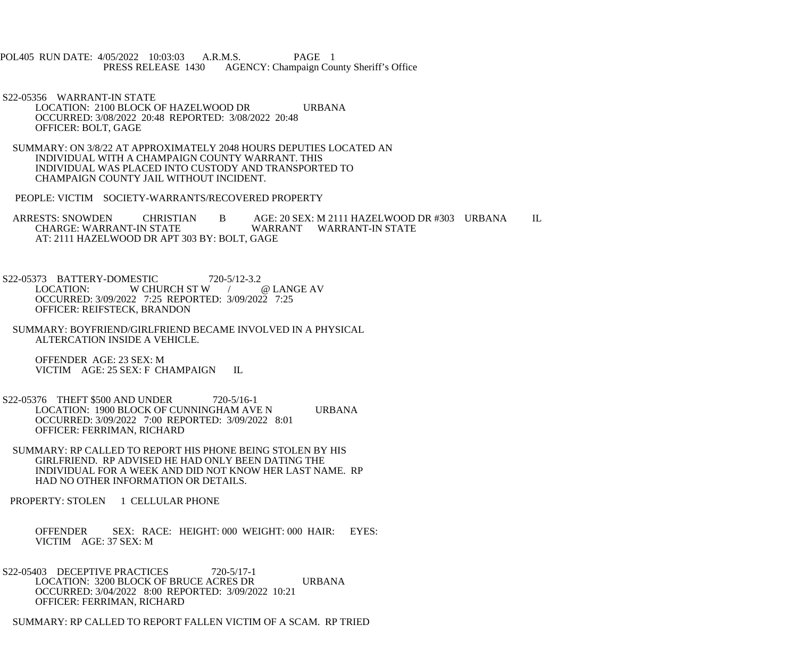POL405 RUN DATE: 4/05/2022 10:03:03 A.R.M.S. PAGE 1<br>PRESS RELEASE 1430 AGENCY: Champaign Cou AGENCY: Champaign County Sheriff's Office

 S22-05356 WARRANT-IN STATE LOCATION: 2100 BLOCK OF HAZELWOOD DR URBANA OCCURRED: 3/08/2022 20:48 REPORTED: 3/08/2022 20:48 OFFICER: BOLT, GAGE

 SUMMARY: ON 3/8/22 AT APPROXIMATELY 2048 HOURS DEPUTIES LOCATED AN INDIVIDUAL WITH A CHAMPAIGN COUNTY WARRANT. THIS INDIVIDUAL WAS PLACED INTO CUSTODY AND TRANSPORTED TO CHAMPAIGN COUNTY JAIL WITHOUT INCIDENT.

PEOPLE: VICTIM SOCIETY-WARRANTS/RECOVERED PROPERTY

ARRESTS: SNOWDEN CHRISTIAN B AGE: 20 SEX: M 2111 HAZELWOOD DR #303 URBANA IL<br>CHARGE: WARRANT-IN STATE WARRANT WARRANT-IN STATE WARRANT WARRANT-IN STATE AT: 2111 HAZELWOOD DR APT 303 BY: BOLT, GAGE

S22-05373 BATTERY-DOMESTIC 720-5/12-3.2<br>LOCATION: W CHURCH ST W W CHURCH ST W / @ LANGE AV OCCURRED: 3/09/2022 7:25 REPORTED: 3/09/2022 7:25 OFFICER: REIFSTECK, BRANDON

 SUMMARY: BOYFRIEND/GIRLFRIEND BECAME INVOLVED IN A PHYSICAL ALTERCATION INSIDE A VEHICLE.

 OFFENDER AGE: 23 SEX: M VICTIM AGE: 25 SEX: F CHAMPAIGN IL

 S22-05376 THEFT \$500 AND UNDER 720-5/16-1 LOCATION: 1900 BLOCK OF CUNNINGHAM AVE N URBANA OCCURRED: 3/09/2022 7:00 REPORTED: 3/09/2022 8:01 OFFICER: FERRIMAN, RICHARD

 SUMMARY: RP CALLED TO REPORT HIS PHONE BEING STOLEN BY HIS GIRLFRIEND. RP ADVISED HE HAD ONLY BEEN DATING THE INDIVIDUAL FOR A WEEK AND DID NOT KNOW HER LAST NAME. RP HAD NO OTHER INFORMATION OR DETAILS.

PROPERTY: STOLEN 1 CELLULAR PHONE

 OFFENDER SEX: RACE: HEIGHT: 000 WEIGHT: 000 HAIR: EYES: VICTIM AGE: 37 SEX: M

S22-05403 DECEPTIVE PRACTICES 720-5/17-1 LOCATION: 3200 BLOCK OF BRUCE ACRES DR URBANA OCCURRED: 3/04/2022 8:00 REPORTED: 3/09/2022 10:21 OFFICER: FERRIMAN, RICHARD

SUMMARY: RP CALLED TO REPORT FALLEN VICTIM OF A SCAM. RP TRIED